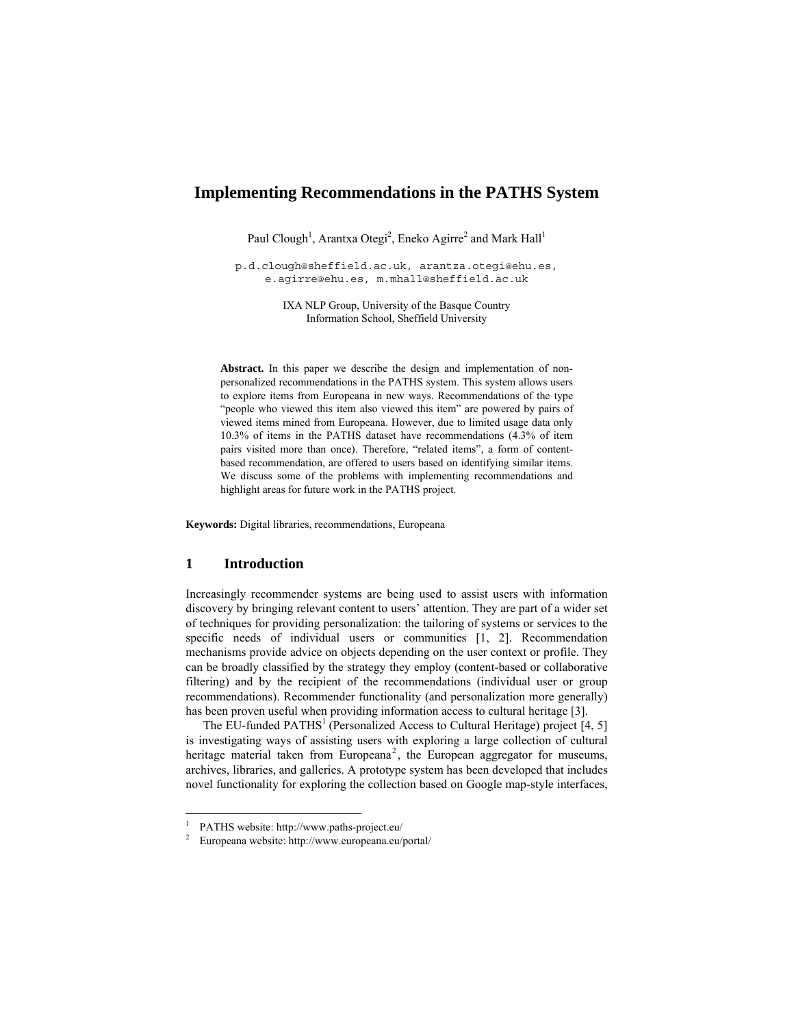# **Implementing Recommendations in the PATHS System**

Paul Clough<sup>1</sup>, Arantxa Otegi<sup>2</sup>, Eneko Agirre<sup>2</sup> and Mark Hall<sup>1</sup>

p.d.clough@sheffield.ac.uk, arantza.otegi@ehu.es, e.agirre@ehu.es, m.mhall@sheffield.ac.uk

> IXA NLP Group, University of the Basque Country Information School, Sheffield University

**Abstract.** In this paper we describe the design and implementation of nonpersonalized recommendations in the PATHS system. This system allows users to explore items from Europeana in new ways. Recommendations of the type "people who viewed this item also viewed this item" are powered by pairs of viewed items mined from Europeana. However, due to limited usage data only 10.3% of items in the PATHS dataset have recommendations (4.3% of item pairs visited more than once). Therefore, "related items", a form of contentbased recommendation, are offered to users based on identifying similar items. We discuss some of the problems with implementing recommendations and highlight areas for future work in the PATHS project.

**Keywords:** Digital libraries, recommendations, Europeana

## **1 Introduction**

 $\overline{a}$ 

Increasingly recommender systems are being used to assist users with information discovery by bringing relevant content to users' attention. They are part of a wider set of techniques for providing personalization: the tailoring of systems or services to the specific needs of individual users or communities [1, 2]. Recommendation mechanisms provide advice on objects depending on the user context or profile. They can be broadly classified by the strategy they employ (content-based or collaborative filtering) and by the recipient of the recommendations (individual user or group recommendations). Recommender functionality (and personalization more generally) has been proven useful when providing information access to cultural heritage [3].

The EU-funded  $PATHS<sup>1</sup>$  (Personalized Access to Cultural Heritage) project [4, 5] is investigating ways of assisting users with exploring a large collection of cultural heritage material taken from Europeana<sup>2</sup>, the European aggregator for museums, archives, libraries, and galleries. A prototype system has been developed that includes novel functionality for exploring the collection based on Google map-style interfaces,

<sup>1</sup> PATHS website: http://www.paths-project.eu/

<sup>2</sup> Europeana website: http://www.europeana.eu/portal/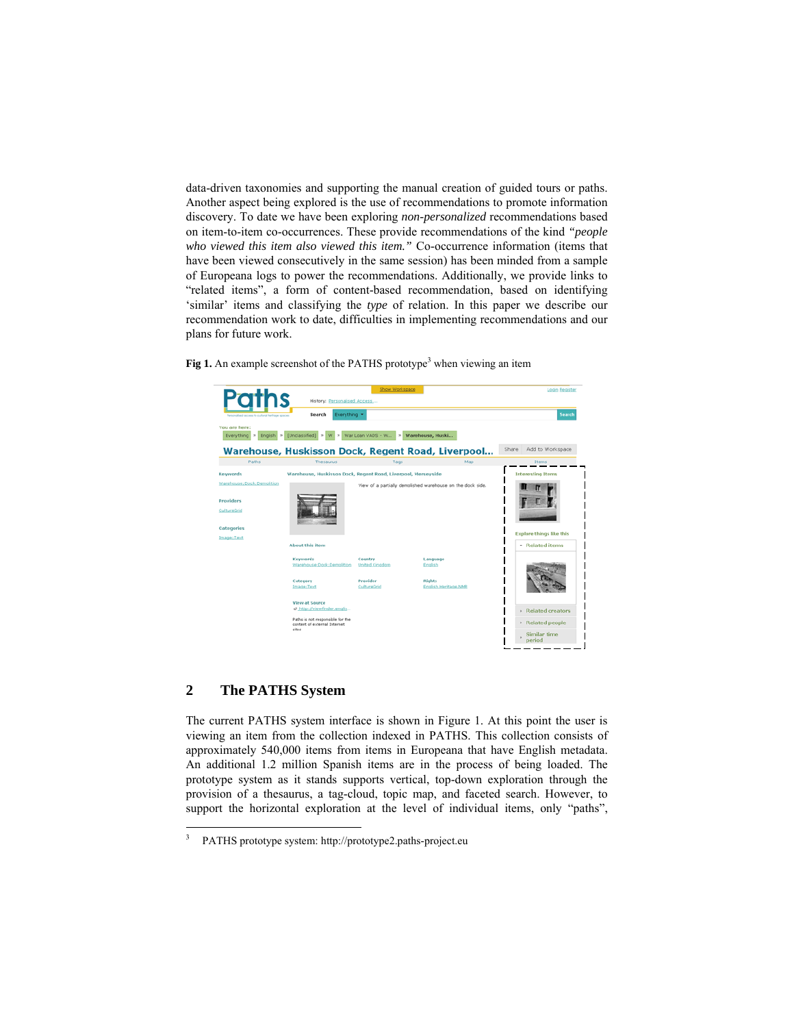data-driven taxonomies and supporting the manual creation of guided tours or paths. Another aspect being explored is the use of recommendations to promote information discovery. To date we have been exploring *non-personalized* recommendations based on item-to-item co-occurrences. These provide recommendations of the kind *"people who viewed this item also viewed this item."* Co-occurrence information (items that have been viewed consecutively in the same session) has been minded from a sample of Europeana logs to power the recommendations. Additionally, we provide links to "related items", a form of content-based recommendation, based on identifying 'similar' items and classifying the *type* of relation. In this paper we describe our recommendation work to date, difficulties in implementing recommendations and our plans for future work.



Fig 1. An example screenshot of the PATHS prototype<sup>3</sup> when viewing an item

## **2 The PATHS System**

 $\overline{a}$ 

The current PATHS system interface is shown in Figure 1. At this point the user is viewing an item from the collection indexed in PATHS. This collection consists of approximately 540,000 items from items in Europeana that have English metadata. An additional 1.2 million Spanish items are in the process of being loaded. The prototype system as it stands supports vertical, top-down exploration through the provision of a thesaurus, a tag-cloud, topic map, and faceted search. However, to support the horizontal exploration at the level of individual items, only "paths",

<sup>3</sup> PATHS prototype system: http://prototype2.paths-project.eu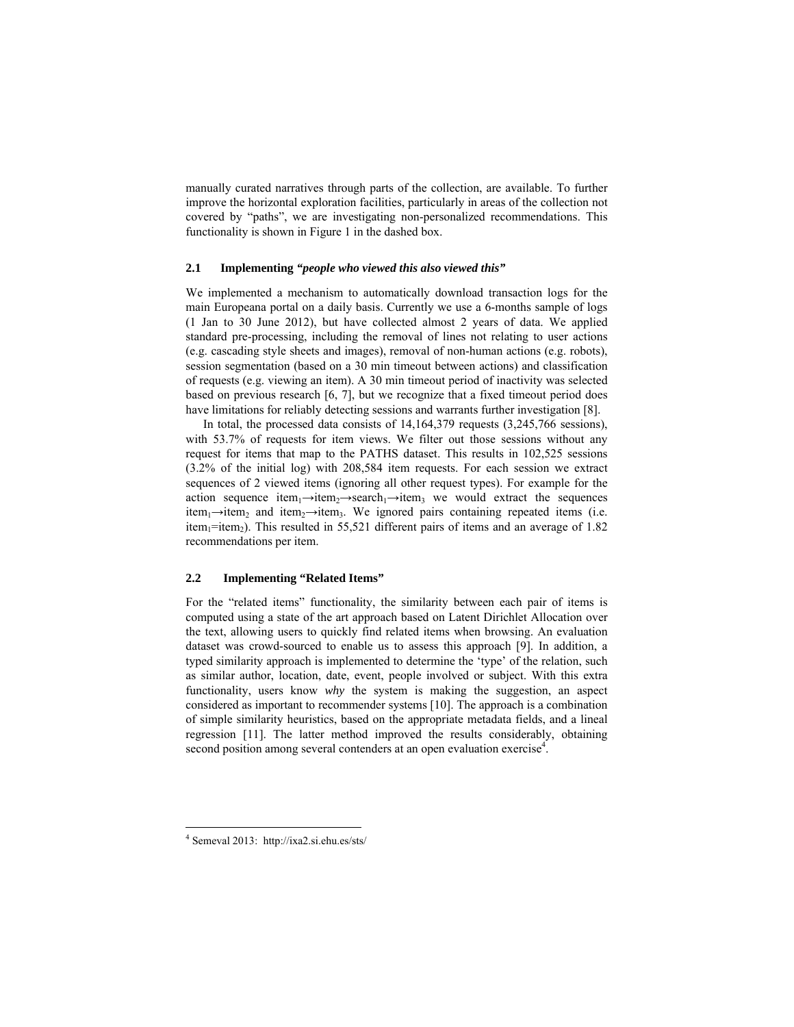manually curated narratives through parts of the collection, are available. To further improve the horizontal exploration facilities, particularly in areas of the collection not covered by "paths", we are investigating non-personalized recommendations. This functionality is shown in Figure 1 in the dashed box.

#### **2.1 Implementing** *"people who viewed this also viewed this"*

We implemented a mechanism to automatically download transaction logs for the main Europeana portal on a daily basis. Currently we use a 6-months sample of logs (1 Jan to 30 June 2012), but have collected almost 2 years of data. We applied standard pre-processing, including the removal of lines not relating to user actions (e.g. cascading style sheets and images), removal of non-human actions (e.g. robots), session segmentation (based on a 30 min timeout between actions) and classification of requests (e.g. viewing an item). A 30 min timeout period of inactivity was selected based on previous research [6, 7], but we recognize that a fixed timeout period does have limitations for reliably detecting sessions and warrants further investigation [8].

In total, the processed data consists of 14,164,379 requests (3,245,766 sessions), with 53.7% of requests for item views. We filter out those sessions without any request for items that map to the PATHS dataset. This results in 102,525 sessions (3.2% of the initial log) with 208,584 item requests. For each session we extract sequences of 2 viewed items (ignoring all other request types). For example for the action sequence item<sub>1</sub>→item<sub>2</sub>→search<sub>1</sub>→item<sub>3</sub> we would extract the sequences item<sub>1</sub>→item<sub>2</sub> and item<sub>2</sub>→item<sub>3</sub>. We ignored pairs containing repeated items (i.e. item<sub>1</sub>=item<sub>2</sub>). This resulted in 55,521 different pairs of items and an average of 1.82 recommendations per item.

#### **2.2 Implementing "Related Items"**

For the "related items" functionality, the similarity between each pair of items is computed using a state of the art approach based on Latent Dirichlet Allocation over the text, allowing users to quickly find related items when browsing. An evaluation dataset was crowd-sourced to enable us to assess this approach [9]. In addition, a typed similarity approach is implemented to determine the 'type' of the relation, such as similar author, location, date, event, people involved or subject. With this extra functionality, users know *why* the system is making the suggestion, an aspect considered as important to recommender systems [10]. The approach is a combination of simple similarity heuristics, based on the appropriate metadata fields, and a lineal regression [11]. The latter method improved the results considerably, obtaining second position among several contenders at an open evaluation exercise<sup>4</sup>.

<sup>4</sup> Semeval 2013: http://ixa2.si.ehu.es/sts/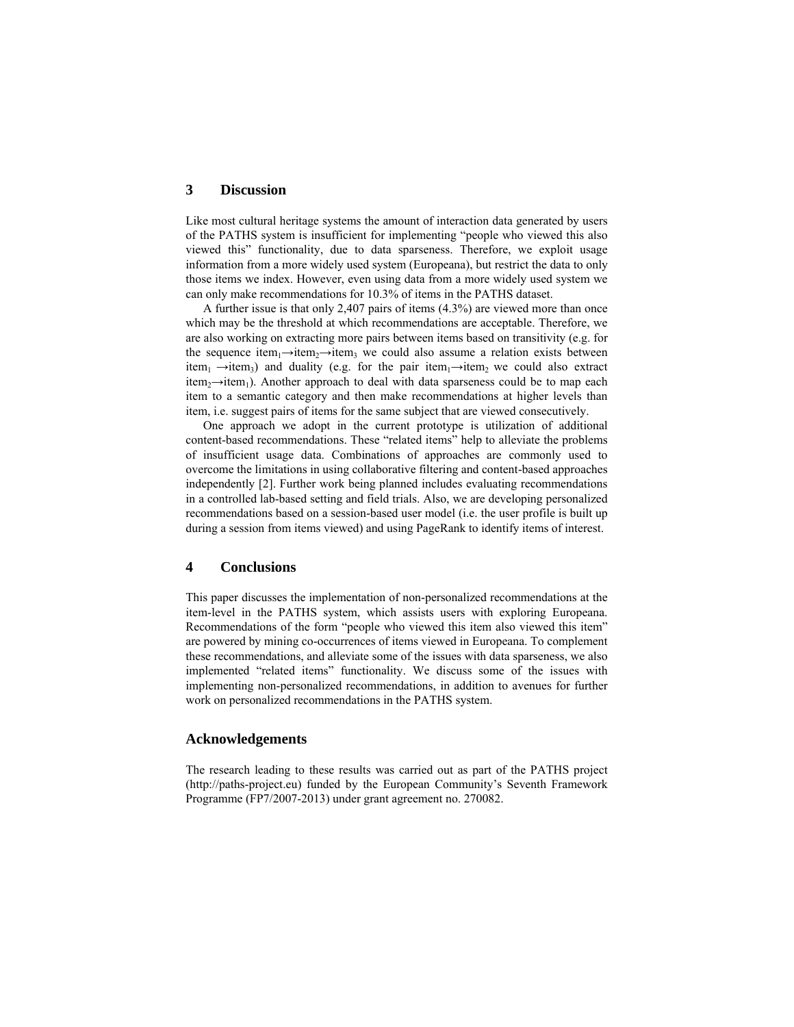### **3 Discussion**

Like most cultural heritage systems the amount of interaction data generated by users of the PATHS system is insufficient for implementing "people who viewed this also viewed this" functionality, due to data sparseness. Therefore, we exploit usage information from a more widely used system (Europeana), but restrict the data to only those items we index. However, even using data from a more widely used system we can only make recommendations for 10.3% of items in the PATHS dataset.

A further issue is that only 2,407 pairs of items (4.3%) are viewed more than once which may be the threshold at which recommendations are acceptable. Therefore, we are also working on extracting more pairs between items based on transitivity (e.g. for the sequence item<sub>1</sub>→item<sub>3</sub>→item<sub>3</sub> we could also assume a relation exists between item<sub>1</sub>  $\rightarrow$ item<sub>3</sub>) and duality (e.g. for the pair item<sub>1</sub> $\rightarrow$ item<sub>2</sub> we could also extract item<sub>2</sub>→item<sub>1</sub>). Another approach to deal with data sparseness could be to map each item to a semantic category and then make recommendations at higher levels than item, i.e. suggest pairs of items for the same subject that are viewed consecutively.

One approach we adopt in the current prototype is utilization of additional content-based recommendations. These "related items" help to alleviate the problems of insufficient usage data. Combinations of approaches are commonly used to overcome the limitations in using collaborative filtering and content-based approaches independently [2]. Further work being planned includes evaluating recommendations in a controlled lab-based setting and field trials. Also, we are developing personalized recommendations based on a session-based user model (i.e. the user profile is built up during a session from items viewed) and using PageRank to identify items of interest.

## **4 Conclusions**

This paper discusses the implementation of non-personalized recommendations at the item-level in the PATHS system, which assists users with exploring Europeana. Recommendations of the form "people who viewed this item also viewed this item" are powered by mining co-occurrences of items viewed in Europeana. To complement these recommendations, and alleviate some of the issues with data sparseness, we also implemented "related items" functionality. We discuss some of the issues with implementing non-personalized recommendations, in addition to avenues for further work on personalized recommendations in the PATHS system.

#### **Acknowledgements**

The research leading to these results was carried out as part of the PATHS project (http://paths-project.eu) funded by the European Community's Seventh Framework Programme (FP7/2007-2013) under grant agreement no. 270082.